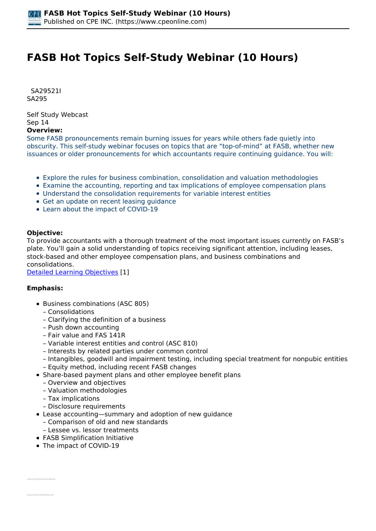# **FASB Hot Topics Self-Study Webinar (10 Hours)**

 *SA29521I SA295* 

*Self Study Webcast Sep 14*  **Overview:** 

*Some FASB pronouncements remain burning issues for years while others fade quietly into obscurity. This self-study webinar focuses on topics that are "top-of-mind" at FASB, whether new issuances or older pronouncements for which accountants require continuing guidance. You will:*

- *Explore the rules for business combination, consolidation and valuation methodologies*
- *Examine the accounting, reporting and tax implications of employee compensation plans*
- *Understand the consolidation requirements for variable interest entities*
- *Get an update on recent leasing guidance*
- *Learn about the impact of COVID-19*

# **Objective:**

*To provide accountants with a thorough treatment of the most important issues currently on FASB's plate. You'll gain a solid understanding of topics receiving significant attention, including leases, stock-based and other employee compensation plans, and business combinations and consolidations.*

*[Detailed Learning Objectives](https://www.cpeonline.com/JavaScript:showObjectivesPopup();) [1]*

## **Emphasis:**

- *Business combinations (ASC 805)*
	- *Consolidations*
	- *Clarifying the definition of a business*
	- *Push down accounting*
	- *Fair value and FAS 141R*
	- *Variable interest entities and control (ASC 810)*
	- *Interests by related parties under common control*
	- *Intangibles, goodwill and impairment testing, including special treatment for nonpubic entities – Equity method, including recent FASB changes*
- *Share-based payment plans and other employee benefit plans*
	- *Overview and objectives*
	- *Valuation methodologies*
	- *Tax implications*
	- *Disclosure requirements*
- *Lease accounting—summary and adoption of new guidance*
	- *Comparison of old and new standards*
- *Lessee vs. lessor treatments*
- *FASB Simplification Initiative*
- *The impact of COVID-19*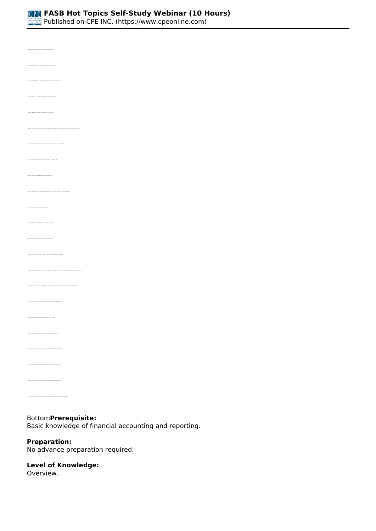

*Published on CPE INC. (https://www.cpeonline.com)*

*• Identify the general rules for lease classification under existing FAS 13 • Identify the impact of the New Lease Standard on the financial statements of lessees • Identify the changes to lessor accounting under the New Lease Standard • Recognize the lease terms for which the lessee may elect to not recognize the right of use asset or lease liability on the balance sheet • Recognize the transition requirements and effective dates of new Topic 842 • Identify those transactions qualifying as a business combination • Identify a business combination measurement period • Identify the treatment of contingencies in a business combination • Identify general disclosures required with a business combination • Recognize the accounting treatment of a gain or loss on the deconsolidation of a subsidiary • Recognize the changes for the accounting for measurement-period adjustments in a business combination under ASU 2015-16 • Recognize the changes for the accounting for goodwill impairment under ASU 2017-04 • Recognize the FASB's proposed changes to the related party guidance for VIEs • Identify the share-based compensation arrangements falling within the scope of FAS123R • Identify the option pricing model used most often to value stock-based compensation • Identify the option available to nonpublic entities in measuring their share-based compensation awards*

# *Bottom***Prerequisite:**

*Basic knowledge of financial accounting and reporting.*

#### **Preparation:**

*No advance preparation required.*

## **Level of Knowledge:**

*Overview.*